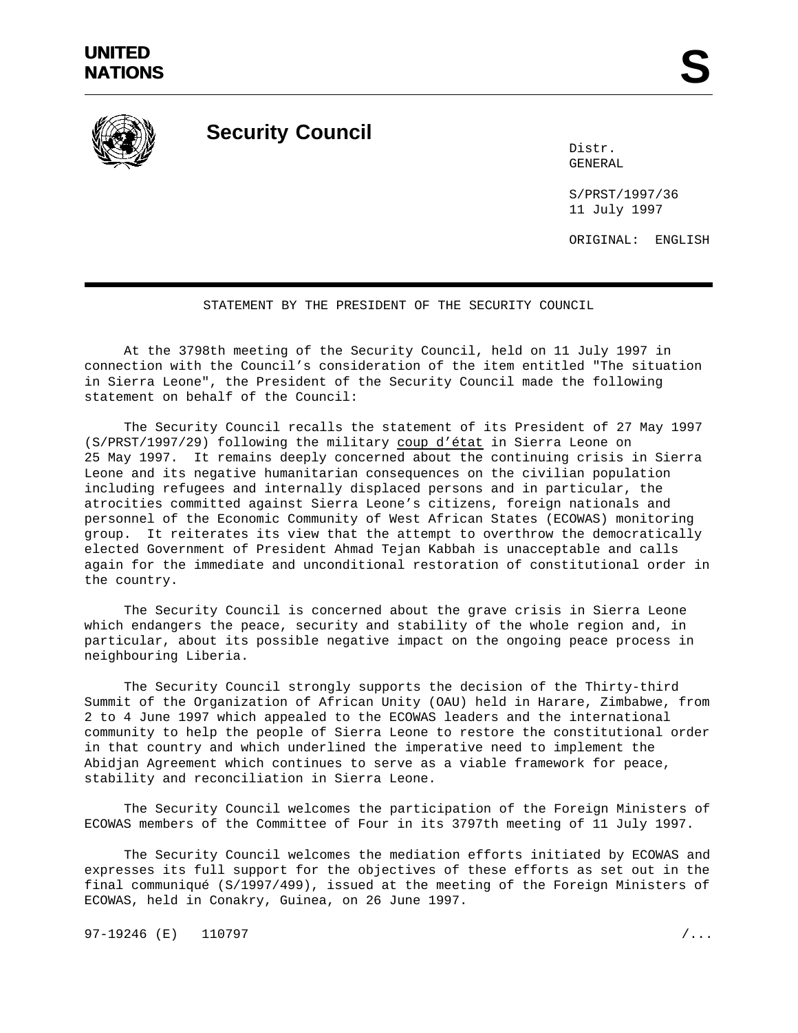

**Security Council**

Distr. GENERAL

S/PRST/1997/36 11 July 1997

ORIGINAL: ENGLISH

## STATEMENT BY THE PRESIDENT OF THE SECURITY COUNCIL

At the 3798th meeting of the Security Council, held on 11 July 1997 in connection with the Council's consideration of the item entitled "The situation in Sierra Leone", the President of the Security Council made the following statement on behalf of the Council:

The Security Council recalls the statement of its President of 27 May 1997 (S/PRST/1997/29) following the military coup d'état in Sierra Leone on 25 May 1997. It remains deeply concerned about the continuing crisis in Sierra Leone and its negative humanitarian consequences on the civilian population including refugees and internally displaced persons and in particular, the atrocities committed against Sierra Leone's citizens, foreign nationals and personnel of the Economic Community of West African States (ECOWAS) monitoring group. It reiterates its view that the attempt to overthrow the democratically elected Government of President Ahmad Tejan Kabbah is unacceptable and calls again for the immediate and unconditional restoration of constitutional order in the country.

The Security Council is concerned about the grave crisis in Sierra Leone which endangers the peace, security and stability of the whole region and, in particular, about its possible negative impact on the ongoing peace process in neighbouring Liberia.

The Security Council strongly supports the decision of the Thirty-third Summit of the Organization of African Unity (OAU) held in Harare, Zimbabwe, from 2 to 4 June 1997 which appealed to the ECOWAS leaders and the international community to help the people of Sierra Leone to restore the constitutional order in that country and which underlined the imperative need to implement the Abidjan Agreement which continues to serve as a viable framework for peace, stability and reconciliation in Sierra Leone.

The Security Council welcomes the participation of the Foreign Ministers of ECOWAS members of the Committee of Four in its 3797th meeting of 11 July 1997.

The Security Council welcomes the mediation efforts initiated by ECOWAS and expresses its full support for the objectives of these efforts as set out in the final communiqué (S/1997/499), issued at the meeting of the Foreign Ministers of ECOWAS, held in Conakry, Guinea, on 26 June 1997.

97-19246 (E) 110797 /...